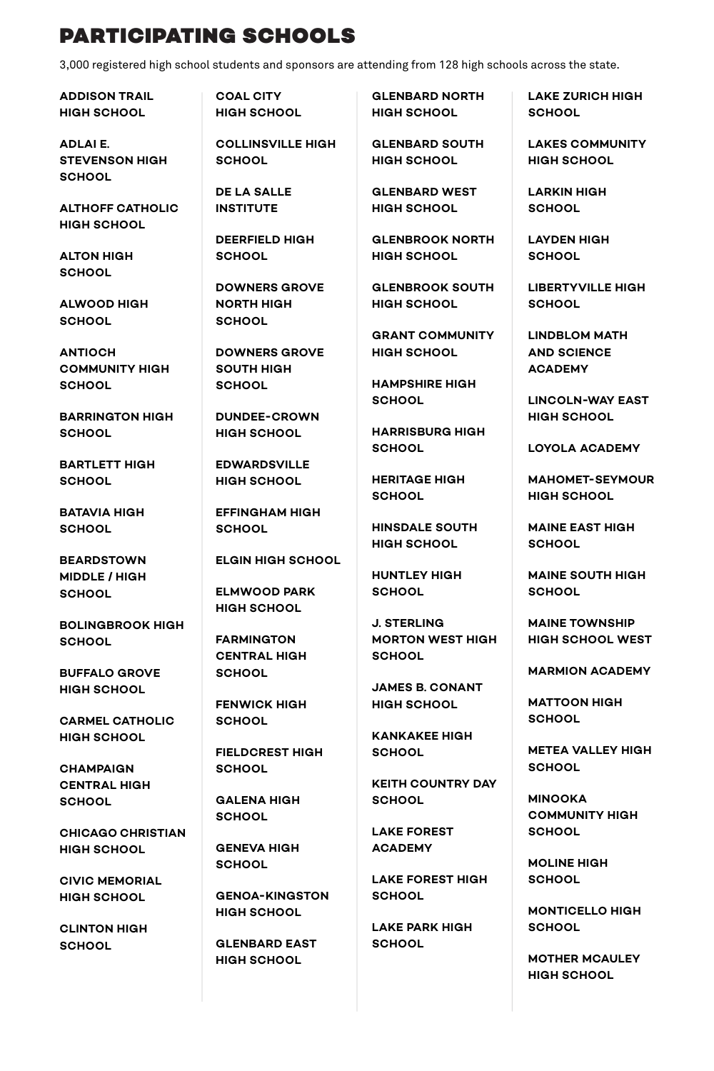## PARTICIPATING SCHOOLS

3,000 registered high school students and sponsors are attending from 128 high schools across the state.

**ADDISON TRAIL HIGH SCHOOL**

**ADLAI E. STEVENSON HIGH SCHOOL**

**ALTHOFF CATHOLIC HIGH SCHOOL**

**ALTON HIGH SCHOOL**

**ALWOOD HIGH SCHOOL**

**ANTIOCH COMMUNITY HIGH SCHOOL**

**BARRINGTON HIGH SCHOOL**

**BARTLETT HIGH SCHOOL**

**BATAVIA HIGH SCHOOL**

**BEARDSTOWN MIDDLE / HIGH SCHOOL**

**BOLINGBROOK HIGH SCHOOL**

**BUFFALO GROVE HIGH SCHOOL**

**CARMEL CATHOLIC HIGH SCHOOL**

**CHAMPAIGN CENTRAL HIGH SCHOOL**

**CHICAGO CHRISTIAN HIGH SCHOOL**

**CIVIC MEMORIAL HIGH SCHOOL**

**CLINTON HIGH SCHOOL**

**COAL CITY HIGH SCHOOL**

**COLLINSVILLE HIGH SCHOOL**

**DE LA SALLE INSTITUTE**

**DEERFIELD HIGH SCHOOL**

**DOWNERS GROVE NORTH HIGH SCHOOL**

**DOWNERS GROVE SOUTH HIGH SCHOOL**

**DUNDEE-CROWN HIGH SCHOOL**

**EDWARDSVILLE HIGH SCHOOL**

**EFFINGHAM HIGH SCHOOL**

**ELGIN HIGH SCHOOL**

**ELMWOOD PARK HIGH SCHOOL**

**FARMINGTON CENTRAL HIGH SCHOOL**

**FENWICK HIGH SCHOOL**

**FIELDCREST HIGH SCHOOL**

**GALENA HIGH SCHOOL**

**GENEVA HIGH SCHOOL**

**GENOA-KINGSTON HIGH SCHOOL**

**GLENBARD EAST HIGH SCHOOL**

**GLENBARD NORTH HIGH SCHOOL**

**GLENBARD SOUTH HIGH SCHOOL**

**GLENBARD WEST HIGH SCHOOL**

**GLENBROOK NORTH HIGH SCHOOL**

**GLENBROOK SOUTH HIGH SCHOOL**

**GRANT COMMUNITY HIGH SCHOOL**

**HAMPSHIRE HIGH SCHOOL**

**HARRISBURG HIGH SCHOOL**

**HERITAGE HIGH SCHOOL**

**HINSDALE SOUTH HIGH SCHOOL**

**HUNTLEY HIGH SCHOOL**

**J. STERLING MORTON WEST HIGH SCHOOL**

**JAMES B. CONANT HIGH SCHOOL**

**KANKAKEE HIGH SCHOOL**

**KEITH COUNTRY DAY SCHOOL**

**LAKE FOREST ACADEMY**

**LAKE FOREST HIGH SCHOOL**

**LAKE PARK HIGH SCHOOL**

**LAKE ZURICH HIGH SCHOOL**

**LAKES COMMUNITY HIGH SCHOOL**

**LARKIN HIGH SCHOOL**

**LAYDEN HIGH SCHOOL**

**LIBERTYVILLE HIGH SCHOOL**

**LINDBLOM MATH AND SCIENCE ACADEMY**

**LINCOLN-WAY EAST HIGH SCHOOL**

**LOYOLA ACADEMY**

**MAHOMET-SEYMOUR HIGH SCHOOL**

**MAINE EAST HIGH SCHOOL**

**MAINE SOUTH HIGH SCHOOL**

**MAINE TOWNSHIP HIGH SCHOOL WEST**

**MARMION ACADEMY**

**MATTOON HIGH SCHOOL**

**METEA VALLEY HIGH SCHOOL**

**MINOOKA COMMUNITY HIGH SCHOOL**

**MOLINE HIGH SCHOOL**

**MONTICELLO HIGH SCHOOL**

**MOTHER MCAULEY HIGH SCHOOL**